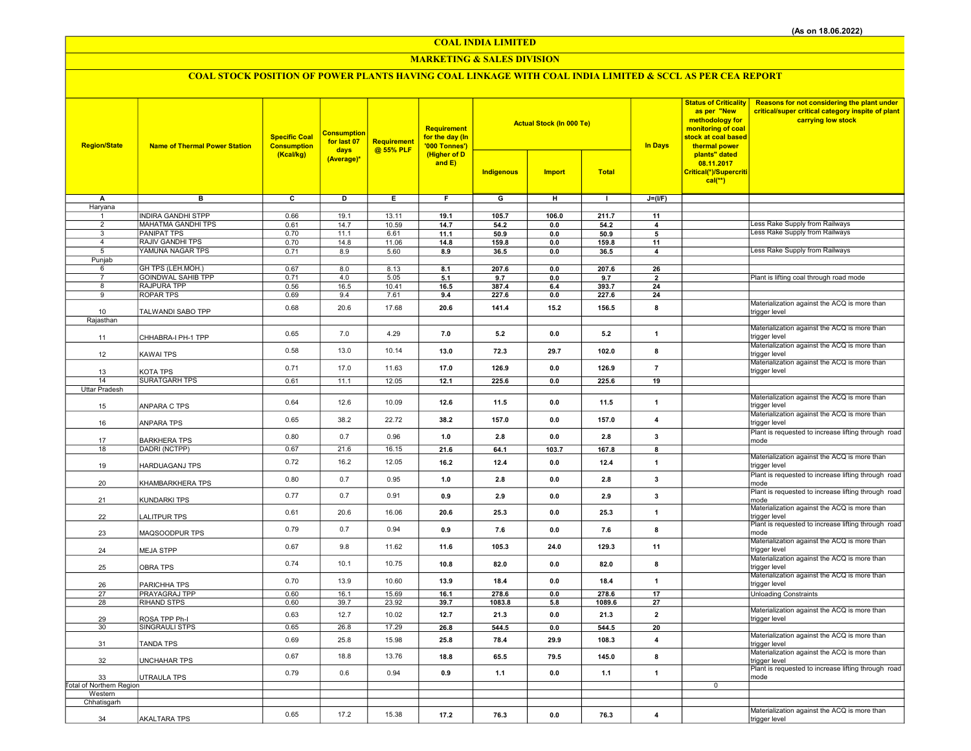COAL INDIA LIMITED

## MARKETING & SALES DIVISION

# COAL STOCK POSITION OF POWER PLANTS HAVING COAL LINKAGE WITH COAL INDIA LIMITED & SCCL AS PER CEA REPORT

| <b>Region/State</b>      | <b>Name of Thermal Power Station</b> | <b>Specific Coal</b><br><b>Consumption</b><br>(Kcal/kg) | <b>Consumption</b><br>for last 07<br>days | Requirement<br>@ 55% PLF | Requirement<br>for the day (In<br>'000 Tonnes')<br>(Higher of D<br>and $E$ ) |                         | <b>Actual Stock (In 000 Te)</b> |                 | <b>In Days</b>           | <b>Status of Criticality</b><br>as per "New<br>methodology for<br>monitoring of coal<br>stock at coal based<br>thermal power<br>plants" dated<br>08.11.2017<br>Critical(*)/Supercriti<br>$cal(**)$ | <b>Reasons for not considering the plant under</b><br>critical/super critical category inspite of plant<br>carrying low stock |
|--------------------------|--------------------------------------|---------------------------------------------------------|-------------------------------------------|--------------------------|------------------------------------------------------------------------------|-------------------------|---------------------------------|-----------------|--------------------------|----------------------------------------------------------------------------------------------------------------------------------------------------------------------------------------------------|-------------------------------------------------------------------------------------------------------------------------------|
|                          |                                      |                                                         | (Average)*                                |                          |                                                                              | Indigenous              | <b>Import</b>                   | <b>Total</b>    |                          |                                                                                                                                                                                                    |                                                                                                                               |
| A                        | $\overline{B}$                       | $\overline{\mathbf{c}}$                                 | ъ                                         | Έ                        | F                                                                            | $\overline{\mathsf{G}}$ | $\overline{H}$                  | $\mathbf{L}$    | $J=(I/F)$                |                                                                                                                                                                                                    |                                                                                                                               |
| Haryana<br>$\mathbf{1}$  | <b>INDIRA GANDHI STPP</b>            | 0.66                                                    | 19.1                                      | 13.11                    | 19.1                                                                         | 105.7                   | 106.0                           | 211.7           | 11                       |                                                                                                                                                                                                    |                                                                                                                               |
| $\overline{2}$           | MAHATMA GANDHI TPS                   | 0.61                                                    | 14.7                                      | 10.59                    | 14.7                                                                         | 54.2                    | 0.0                             | 54.2            | $\overline{4}$           |                                                                                                                                                                                                    | ess Rake Supply from Railways                                                                                                 |
| 3                        | <b>PANIPAT TPS</b>                   | 0.70                                                    | 11.1                                      | 6.61                     | 11.1                                                                         | 50.9                    | 0.0                             | 50.9            | 5                        |                                                                                                                                                                                                    | Less Rake Supply from Railways                                                                                                |
| $\overline{4}$           | <b>RAJIV GANDHI TPS</b>              | 0.70                                                    | 14.8                                      | 11.06                    | 14.8                                                                         | 159.8                   | $0.0\,$                         | 159.8           | 11                       |                                                                                                                                                                                                    |                                                                                                                               |
| 5<br>Punjab              | YAMUNA NAGAR TPS                     | 0.71                                                    | 8.9                                       | 5.60                     | 8.9                                                                          | 36.5                    | 0.0                             | 36.5            | 4                        |                                                                                                                                                                                                    | Less Rake Supply from Railways                                                                                                |
| 6                        | GH TPS (LEH.MOH.)                    | 0.67                                                    | 8.0                                       | 8.13                     | 8.1                                                                          | 207.6                   | 0.0                             | 207.6           | 26                       |                                                                                                                                                                                                    |                                                                                                                               |
| $\overline{7}$           | <b>GOINDWAL SAHIB TPP</b>            | 0.71                                                    | 4.0                                       | 5.05                     | 5.1                                                                          | 9.7                     | 0.0                             | 9.7             | $\overline{\phantom{a}}$ |                                                                                                                                                                                                    | Plant is lifting coal through road mode                                                                                       |
| 8                        | <b>RAJPURA TPP</b>                   | 0.56                                                    | 16.5                                      | 10.41                    | 16.5                                                                         | 387.4                   | 6.4                             | 393.7           | 24                       |                                                                                                                                                                                                    |                                                                                                                               |
| 9                        | <b>ROPAR TPS</b>                     | 0.69                                                    | 9.4                                       | 7.61                     | 9.4                                                                          | 227.6                   | 0.0                             | 227.6           | 24                       |                                                                                                                                                                                                    | Materialization against the ACQ is more than                                                                                  |
| 10                       | TALWANDI SABO TPP                    | 0.68                                                    | 20.6                                      | 17.68                    | 20.6                                                                         | 141.4                   | 15.2                            | 156.5           | 8                        |                                                                                                                                                                                                    | trigger level                                                                                                                 |
| Rajasthan                |                                      |                                                         |                                           |                          |                                                                              |                         |                                 |                 |                          |                                                                                                                                                                                                    |                                                                                                                               |
| 11                       | CHHABRA-I PH-1 TPP                   | 0.65                                                    | 7.0                                       | 4.29                     | 7.0                                                                          | 5.2                     | 0.0                             | 5.2             | $\mathbf{1}$             |                                                                                                                                                                                                    | Materialization against the ACQ is more than<br>trigger level                                                                 |
| 12                       | KAWAI TPS                            | 0.58                                                    | 13.0                                      | 10.14                    | 13.0                                                                         | 72.3                    | 29.7                            | 102.0           | 8                        |                                                                                                                                                                                                    | Materialization against the ACQ is more than<br>trigger level                                                                 |
| 13                       | KOTA TPS                             | 0.71                                                    | 17.0                                      | 11.63                    | 17.0                                                                         | 126.9                   | 0.0                             | 126.9           | $\overline{7}$           |                                                                                                                                                                                                    | Materialization against the ACQ is more than<br>trigger level                                                                 |
| 14                       | <b>SURATGARH TPS</b>                 | 0.61                                                    | 11.1                                      | 12.05                    | 12.1                                                                         | 225.6                   | 0.0                             | 225.6           | 19                       |                                                                                                                                                                                                    |                                                                                                                               |
| Uttar Pradesh            |                                      |                                                         |                                           |                          |                                                                              |                         |                                 |                 |                          |                                                                                                                                                                                                    |                                                                                                                               |
| 15                       | ANPARA C TPS                         | 0.64                                                    | 12.6                                      | 10.09                    | 12.6                                                                         | 11.5                    | 0.0                             | 11.5            | $\mathbf{1}$             |                                                                                                                                                                                                    | Materialization against the ACQ is more than<br>trigger level                                                                 |
| 16                       | ANPARA TPS                           | 0.65                                                    | 38.2                                      | 22.72                    | 38.2                                                                         | 157.0                   | 0.0                             | 157.0           | $\overline{\mathbf{4}}$  |                                                                                                                                                                                                    | Materialization against the ACQ is more than<br>trigger level                                                                 |
| 17                       | <b>BARKHERA TPS</b>                  | 0.80                                                    | 0.7                                       | 0.96                     | 1.0                                                                          | 2.8                     | 0.0                             | 2.8             | $\overline{\mathbf{3}}$  |                                                                                                                                                                                                    | Plant is requested to increase lifting through road<br>mode                                                                   |
| 18                       | DADRI (NCTPP)                        | 0.67                                                    | 21.6                                      | 16.15                    | 21.6                                                                         | 64.1                    | 103.7                           | 167.8           | 8                        |                                                                                                                                                                                                    |                                                                                                                               |
| 19                       | HARDUAGANJ TPS                       | 0.72                                                    | 16.2                                      | 12.05                    | 16.2                                                                         | 12.4                    | 0.0                             | 12.4            | $\mathbf{1}$             |                                                                                                                                                                                                    | Materialization against the ACQ is more than<br>trigger level                                                                 |
| 20                       | KHAMBARKHERA TPS                     | 0.80                                                    | 0.7                                       | 0.95                     | 1.0                                                                          | 2.8                     | 0.0                             | 2.8             | 3                        |                                                                                                                                                                                                    | Plant is requested to increase lifting through road<br>mode                                                                   |
| 21                       | KUNDARKI TPS                         | 0.77                                                    | 0.7                                       | 0.91                     | 0.9                                                                          | 2.9                     | 0.0                             | 2.9             | 3                        |                                                                                                                                                                                                    | Plant is requested to increase lifting through road<br>mode                                                                   |
| 22                       | LALITPUR TPS                         | 0.61                                                    | 20.6                                      | 16.06                    | 20.6                                                                         | 25.3                    | 0.0                             | 25.3            | $\mathbf{1}$             |                                                                                                                                                                                                    | Materialization against the ACQ is more than<br>trigger level<br>Plant is requested to increase lifting through road          |
| 23                       | MAQSOODPUR TPS                       | 0.79                                                    | 0.7                                       | 0.94                     | 0.9                                                                          | 7.6                     | 0.0                             | 7.6             | 8                        |                                                                                                                                                                                                    | mode<br>Materialization against the ACQ is more than                                                                          |
| 24                       | <b>MEJA STPP</b>                     | 0.67                                                    | 9.8                                       | 11.62                    | 11.6                                                                         | 105.3                   | 24.0                            | 129.3           | 11                       |                                                                                                                                                                                                    | trigger level<br>Materialization against the ACQ is more than                                                                 |
| 25                       | <b>OBRA TPS</b>                      | 0.74                                                    | 10.1                                      | 10.75                    | 10.8                                                                         | 82.0                    | 0.0                             | 82.0            | 8                        |                                                                                                                                                                                                    | trigger level                                                                                                                 |
| 26                       | PARICHHA TPS                         | 0.70                                                    | 13.9                                      | 10.60                    | 13.9                                                                         | 18.4                    | 0.0                             | 18.4            | $\mathbf{1}$             |                                                                                                                                                                                                    | Materialization against the ACQ is more than<br>trigger level                                                                 |
| 27<br>28                 | PRAYAGRAJ TPP<br><b>RIHAND STPS</b>  | 0.60<br>0.60                                            | 16.1<br>39.7                              | 15.69<br>23.92           | 16.1<br>39.7                                                                 | 278.6<br>1083.8         | 0.0<br>5.8                      | 278.6<br>1089.6 | 17<br>27                 |                                                                                                                                                                                                    | <b>Unloading Constraints</b>                                                                                                  |
|                          |                                      |                                                         | 12.7                                      | 10.02                    |                                                                              |                         |                                 |                 |                          |                                                                                                                                                                                                    | Materialization against the ACQ is more than                                                                                  |
| 29                       | ROSA TPP Ph-I                        | 0.63                                                    |                                           |                          | 12.7                                                                         | 21.3                    | 0.0                             | 21.3            | $\overline{2}$           |                                                                                                                                                                                                    | trigger level                                                                                                                 |
| 30                       | SINGRAULI STPS                       | 0.65                                                    | 26.8                                      | 17.29                    | 26.8                                                                         | 544.5                   | 0.0                             | 544.5           | 20                       |                                                                                                                                                                                                    | Materialization against the ACQ is more than                                                                                  |
| 31                       | TANDA TPS                            | 0.69                                                    | 25.8                                      | 15.98                    | 25.8                                                                         | 78.4                    | 29.9                            | 108.3           | $\overline{\mathbf{4}}$  |                                                                                                                                                                                                    | trigger level<br>Materialization against the ACQ is more than                                                                 |
| 32                       | <b>UNCHAHAR TPS</b>                  | 0.67                                                    | 18.8                                      | 13.76                    | 18.8                                                                         | 65.5                    | 79.5                            | 145.0           | 8                        |                                                                                                                                                                                                    | trigger level<br>Plant is requested to increase lifting through road                                                          |
| 33                       | UTRAULA TPS                          | 0.79                                                    | 0.6                                       | 0.94                     | 0.9                                                                          | 1.1                     | 0.0                             | 1.1             | $\mathbf{1}$             |                                                                                                                                                                                                    | mode                                                                                                                          |
| Total of Northern Region |                                      |                                                         |                                           |                          |                                                                              |                         |                                 |                 |                          | $\mathbf 0$                                                                                                                                                                                        |                                                                                                                               |
| Western<br>Chhatisgarh   |                                      |                                                         |                                           |                          |                                                                              |                         |                                 |                 |                          |                                                                                                                                                                                                    |                                                                                                                               |
|                          |                                      | 0.65                                                    | 17.2                                      | 15.38                    |                                                                              |                         |                                 |                 |                          |                                                                                                                                                                                                    | Materialization against the ACQ is more than                                                                                  |
| 34                       | <b>AKALTARA TPS</b>                  |                                                         |                                           |                          | 17.2                                                                         | 76.3                    | 0.0                             | 76.3            | $\overline{4}$           |                                                                                                                                                                                                    | trigger level                                                                                                                 |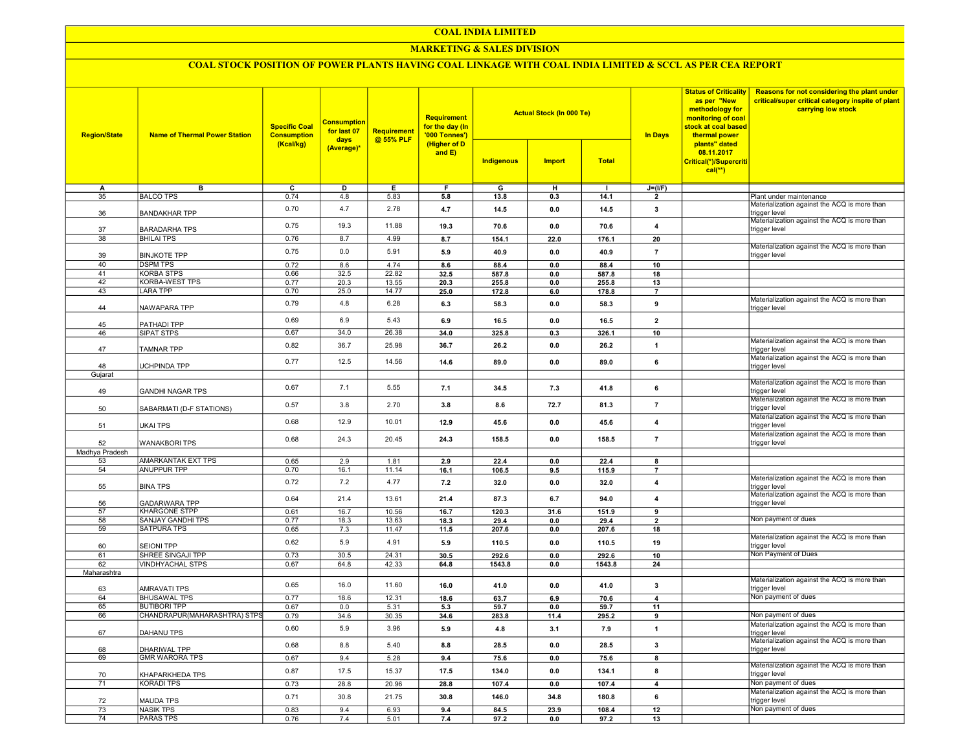#### COAL INDIA LIMITED

#### MARKETING & SALES DIVISION

# COAL STOCK POSITION OF POWER PLANTS HAVING COAL LINKAGE WITH COAL INDIA LIMITED & SCCL AS PER CEA REPORT

| <b>Region/State</b>  | <b>Name of Thermal Power Station</b>   | <b>Specific Coal</b><br><b>Consumption</b><br>(Kcal/kg) | <b>Consumption</b><br>for last 07<br>days<br>(Average)* | Requirement<br>@ 55% PLF | Requirement<br>for the day (In<br>'000 Tonnes')<br>(Higher of D<br>and E) |              | <b>Actual Stock (In 000 Te)</b> |              | <b>Status of Criticality</b><br>as per "New<br>methodology for<br>monitoring of coal<br>stock at coal based<br><b>In Days</b><br>thermal power | Reasons for not considering the plant under<br>critical/super critical category inspite of plant<br>carrying low stock |                                                                                                               |
|----------------------|----------------------------------------|---------------------------------------------------------|---------------------------------------------------------|--------------------------|---------------------------------------------------------------------------|--------------|---------------------------------|--------------|------------------------------------------------------------------------------------------------------------------------------------------------|------------------------------------------------------------------------------------------------------------------------|---------------------------------------------------------------------------------------------------------------|
|                      |                                        |                                                         |                                                         |                          |                                                                           | Indigenous   | <b>Import</b>                   | <b>Total</b> |                                                                                                                                                | plants" dated<br>08.11.2017<br>Critical(*)/Supercriti<br>$cal(**)$                                                     |                                                                                                               |
| А                    | в                                      | $\overline{c}$                                          | D                                                       | E                        | F                                                                         | G            | н                               |              | $J=(I/F)$                                                                                                                                      |                                                                                                                        |                                                                                                               |
| 35                   | <b>BALCO TPS</b>                       | 0.74                                                    | 4.8                                                     | 5.83                     | 5.8                                                                       | 13.8         | 0.3                             | 14.1         | $\overline{2}$                                                                                                                                 |                                                                                                                        | Plant under maintenance                                                                                       |
| 36                   | <b>BANDAKHAR TPP</b>                   | 0.70                                                    | 4.7                                                     | 2.78                     | 4.7                                                                       | 14.5         | 0.0                             | 14.5         | 3                                                                                                                                              |                                                                                                                        | Materialization against the ACQ is more than<br>trigger level<br>Materialization against the ACQ is more than |
| 37                   | <b>BARADARHA TPS</b>                   | 0.75                                                    | 19.3                                                    | 11.88                    | 19.3                                                                      | 70.6         | 0.0                             | 70.6         | $\overline{4}$                                                                                                                                 |                                                                                                                        | trigger level                                                                                                 |
| 38                   | <b>BHILAI TPS</b>                      | 0.76                                                    | 8.7                                                     | 4.99                     | 8.7                                                                       | 154.1        | 22.0                            | 176.1        | $\overline{20}$                                                                                                                                |                                                                                                                        | Materialization against the ACQ is more than                                                                  |
| 39<br>40             | <b>BINJKOTE TPP</b><br><b>DSPM TPS</b> | 0.75<br>0.72                                            | 0.0<br>8.6                                              | 5.91<br>4.74             | 5.9<br>8.6                                                                | 40.9<br>88.4 | 0.0<br>0.0                      | 40.9<br>88.4 | $\overline{7}$<br>10                                                                                                                           |                                                                                                                        | trigger level                                                                                                 |
| 41                   | <b>KORBA STPS</b>                      | 0.66                                                    | 32.5                                                    | 22.82                    | 32.5                                                                      | 587.8        | 0.0                             | 587.8        | 18                                                                                                                                             |                                                                                                                        |                                                                                                               |
| $\overline{42}$      | <b>KORBA-WEST TPS</b>                  | 0.77                                                    | 20.3                                                    | 13.55                    | 20.3                                                                      | 255.8        | 0.0                             | 255.8        | 13                                                                                                                                             |                                                                                                                        |                                                                                                               |
| 43                   | <b>LARA TPP</b>                        | 0.70                                                    | 25.0                                                    | 14.77                    | 25.0                                                                      | 172.8        | 6.0                             | 178.8        | $\overline{7}$                                                                                                                                 |                                                                                                                        |                                                                                                               |
| 44                   | NAWAPARA TPP                           | 0.79                                                    | 4.8                                                     | 6.28                     | 6.3                                                                       | 58.3         | 0.0                             | 58.3         | 9                                                                                                                                              |                                                                                                                        | Materialization against the ACQ is more than<br>trigger level                                                 |
| 45                   | PATHADI TPP                            | 0.69                                                    | 6.9                                                     | 5.43                     | 6.9                                                                       | 16.5         | 0.0                             | 16.5         | $\overline{2}$                                                                                                                                 |                                                                                                                        |                                                                                                               |
| 46                   | SIPAT STPS                             | 0.67                                                    | 34.0                                                    | 26.38                    | 34.0                                                                      | 325.8        | 0.3                             | 326.1        | 10                                                                                                                                             |                                                                                                                        |                                                                                                               |
| 47                   | <b>TAMNAR TPP</b>                      | 0.82                                                    | 36.7                                                    | 25.98                    | 36.7                                                                      | 26.2         | 0.0                             | 26.2         | $\mathbf{1}$                                                                                                                                   |                                                                                                                        | Materialization against the ACQ is more than<br>trigger level                                                 |
|                      |                                        | 0.77                                                    | 12.5                                                    | 14.56                    | 14.6                                                                      | 89.0         | 0.0                             | 89.0         | $\bf{6}$                                                                                                                                       |                                                                                                                        | Materialization against the ACQ is more than                                                                  |
| 48<br>Gujarat        | UCHPINDA TPP                           |                                                         |                                                         |                          |                                                                           |              |                                 |              |                                                                                                                                                |                                                                                                                        | trigger level                                                                                                 |
|                      |                                        |                                                         |                                                         |                          |                                                                           |              |                                 |              |                                                                                                                                                |                                                                                                                        | Materialization against the ACQ is more than                                                                  |
| 49                   | <b>GANDHI NAGAR TPS</b>                | 0.67                                                    | 7.1                                                     | 5.55                     | 7.1                                                                       | 34.5         | 7.3                             | 41.8         | 6                                                                                                                                              |                                                                                                                        | rigger level<br>Materialization against the ACQ is more than                                                  |
| 50                   | SABARMATI (D-F STATIONS)               | 0.57                                                    | 3.8                                                     | 2.70                     | 3.8                                                                       | 8.6          | 72.7                            | 81.3         | $\overline{7}$                                                                                                                                 |                                                                                                                        | trigger level<br>Materialization against the ACQ is more than                                                 |
| 51                   | <b>UKAI TPS</b>                        | 0.68                                                    | 12.9                                                    | 10.01                    | 12.9                                                                      | 45.6         | 0.0                             | 45.6         | $\overline{\mathbf{4}}$                                                                                                                        |                                                                                                                        | trigger level<br>Materialization against the ACQ is more than                                                 |
| 52                   | <b>WANAKBORI TPS</b>                   | 0.68                                                    | 24.3                                                    | 20.45                    | 24.3                                                                      | 158.5        | 0.0                             | 158.5        | $\overline{7}$                                                                                                                                 |                                                                                                                        | trigger level                                                                                                 |
| Madhya Pradesh<br>53 | AMARKANTAK EXT TPS                     | 0.65                                                    | 2.9                                                     | 1.81                     | 2.9                                                                       | 22.4         | 0.0                             | 22.4         |                                                                                                                                                |                                                                                                                        |                                                                                                               |
| 54                   | <b>ANUPPUR TPP</b>                     | 0.70                                                    | 16.1                                                    | 11.14                    | 16.1                                                                      | 106.5        | 9.5                             | 115.9        | 8<br>$\overline{7}$                                                                                                                            |                                                                                                                        |                                                                                                               |
| 55                   | <b>BINA TPS</b>                        | 0.72                                                    | 7.2                                                     | 4.77                     | $7.2$                                                                     | 32.0         | 0.0                             | 32.0         | $\overline{\mathbf{4}}$                                                                                                                        |                                                                                                                        | Materialization against the ACQ is more than<br>trigger level                                                 |
| 56                   | <b>GADARWARA TPP</b>                   | 0.64                                                    | 21.4                                                    | 13.61                    | 21.4                                                                      | 87.3         | 6.7                             | 94.0         | $\overline{\mathbf{4}}$                                                                                                                        |                                                                                                                        | Materialization against the ACQ is more than<br>trigger level                                                 |
| $\overline{57}$      | <b>KHARGONE STPP</b>                   | 0.61                                                    | 16.7                                                    | 10.56                    | 16.7                                                                      | 120.3        | 31.6                            | 151.9        | 9                                                                                                                                              |                                                                                                                        |                                                                                                               |
| 58                   | SANJAY GANDHI TPS                      | 0.77                                                    | 18.3                                                    | 13.63                    | 18.3                                                                      | 29.4         | 0.0                             | 29.4         | $\overline{2}$                                                                                                                                 |                                                                                                                        | Non payment of dues                                                                                           |
| 59                   | <b>SATPURA TPS</b>                     | 0.65                                                    | 7.3                                                     | 11.47                    | 11.5                                                                      | 207.6        | 0.0                             | 207.6        | 18                                                                                                                                             |                                                                                                                        |                                                                                                               |
| 60                   | <b>SEIONI TPP</b>                      | 0.62                                                    | 5.9                                                     | 4.91                     | 5.9                                                                       | 110.5        | 0.0                             | 110.5        | 19                                                                                                                                             |                                                                                                                        | Materialization against the ACQ is more than<br>trigger level                                                 |
| 61                   | SHREE SINGAJI TPP                      | 0.73                                                    | 30.5                                                    | 24.31                    | 30.5                                                                      | 292.6        | 0.0                             | 292.6        | 10                                                                                                                                             |                                                                                                                        | Non Payment of Dues                                                                                           |
| 62                   | <b>VINDHYACHAL STPS</b>                | 0.67                                                    | 64.8                                                    | 42.33                    | 64.8                                                                      | 1543.8       | 0.0                             | 1543.8       | 24                                                                                                                                             |                                                                                                                        |                                                                                                               |
| Maharashtra          |                                        | 0.65                                                    | 16.0                                                    | 11.60                    | 16.0                                                                      | 41.0         | 0.0                             | 41.0         | $\mathbf{3}$                                                                                                                                   |                                                                                                                        | Materialization against the ACQ is more than<br>trigger level                                                 |
| 63<br>64             | AMRAVATI TPS<br><b>BHUSAWAL TPS</b>    | 0.77                                                    | 18.6                                                    | 12.31                    | 18.6                                                                      | 63.7         | 6.9                             | 70.6         | $\overline{4}$                                                                                                                                 |                                                                                                                        | Non payment of dues                                                                                           |
| 65                   | <b>BUTIBORI TPP</b>                    | 0.67                                                    | 0.0                                                     | 5.31                     | 5.3                                                                       | 59.7         | 0.0                             | 59.7         | 11                                                                                                                                             |                                                                                                                        |                                                                                                               |
| 66                   | CHANDRAPUR(MAHARASHTRA) STPS           | 0.79                                                    | 34.6                                                    | 30.35                    | 34.6                                                                      | 283.8        | 11.4                            | 295.2        | 9                                                                                                                                              |                                                                                                                        | Non payment of dues                                                                                           |
| 67                   | DAHANU TPS                             | 0.60                                                    | 5.9                                                     | 3.96                     | 5.9                                                                       | 4.8          | 3.1                             | 7.9          | $\mathbf{1}$                                                                                                                                   |                                                                                                                        | Materialization against the ACQ is more than<br>trigger level                                                 |
| 68                   | <b>DHARIWAL TPP</b>                    | 0.68                                                    | 8.8                                                     | 5.40                     | 8.8                                                                       | 28.5         | 0.0                             | 28.5         | $\mathbf{3}$                                                                                                                                   |                                                                                                                        | Materialization against the ACQ is more than<br>trigger level                                                 |
| 69                   | <b>GMR WARORA TPS</b>                  | 0.67                                                    | 9.4                                                     | 5.28                     | 9.4                                                                       | 75.6         | 0.0                             | 75.6         | 8                                                                                                                                              |                                                                                                                        |                                                                                                               |
| 70                   | KHAPARKHEDA TPS                        | 0.87                                                    | 17.5                                                    | 15.37                    | 17.5                                                                      | 134.0        | 0.0                             | 134.1        | 8                                                                                                                                              |                                                                                                                        | Materialization against the ACQ is more than<br>trigger level                                                 |
| $\overline{71}$      | <b>KORADI TPS</b>                      | 0.73                                                    | 28.8                                                    | 20.96                    | 28.8                                                                      | 107.4        | 0.0                             | 107.4        | $\overline{4}$                                                                                                                                 |                                                                                                                        | Non payment of dues                                                                                           |
| 72                   | <b>MAUDA TPS</b>                       | 0.71                                                    | 30.8                                                    | 21.75                    | 30.8                                                                      | 146.0        | 34.8                            | 180.8        | $\bf{6}$                                                                                                                                       |                                                                                                                        | Materialization against the ACQ is more than<br>trigger level                                                 |
| $\overline{73}$      | <b>NASIK TPS</b>                       | 0.83                                                    | 9.4                                                     | 6.93                     | 9.4                                                                       | 84.5         | 23.9                            | 108.4        | 12                                                                                                                                             |                                                                                                                        | Non payment of dues                                                                                           |
| $\overline{74}$      | <b>PARAS TPS</b>                       | 0.76                                                    | 7.4                                                     | 5.01                     | 7.4                                                                       | 97.2         | 0.0                             | 97.2         | 13                                                                                                                                             |                                                                                                                        |                                                                                                               |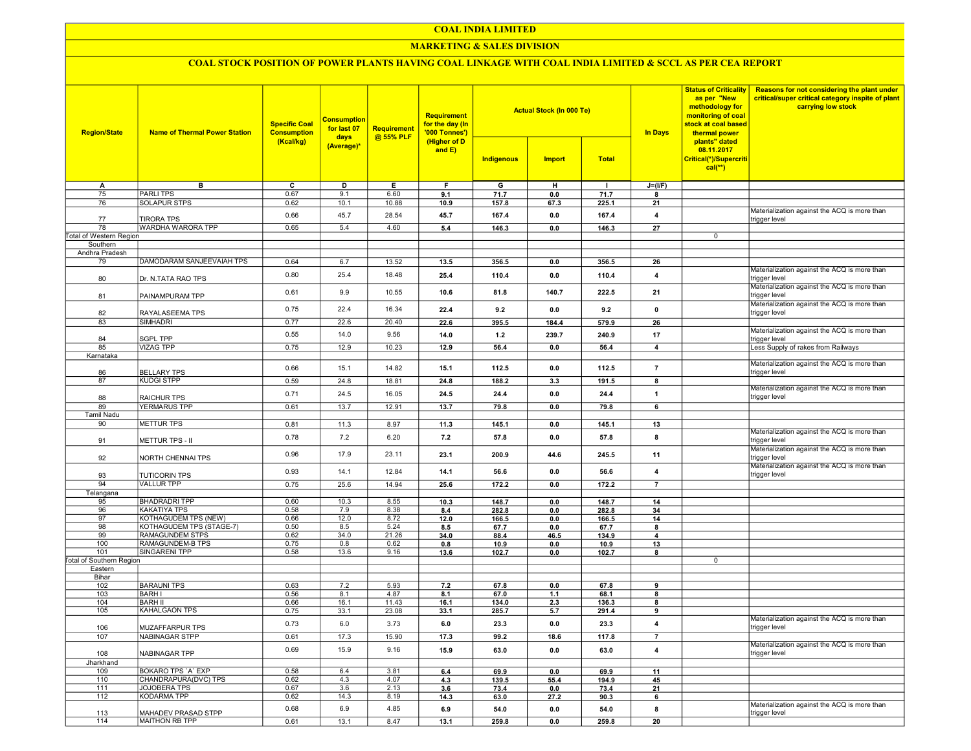## COAL INDIA LIMITED

## **MARKETING & SALES DIVISION**

# COAL STOCK POSITION OF POWER PLANTS HAVING COAL LINKAGE WITH COAL INDIA LIMITED & SCCL AS PER CEA REPORT

| <b>Region/State</b>                    | <b>Name of Thermal Power Station</b> | <b>Specific Coal</b><br><b>Consumption</b><br>(Kcal/kg) | <b>Consumption</b><br>for last 07<br>days<br>(Average)* | Requirement<br>@ 55% PLF | <b>Requirement</b><br>for the day (In<br>'000 Tonnes')<br>(Higher of D |            | <b>Actual Stock (In 000 Te)</b> |              | <b>Status of Criticality</b><br>as per "New<br>methodology for<br>monitoring of coal<br>stock at coal based<br><b>In Days</b><br>thermal power<br>plants" dated | Reasons for not considering the plant under<br>critical/super critical category inspite of plant<br>carrying low stock |                                                               |
|----------------------------------------|--------------------------------------|---------------------------------------------------------|---------------------------------------------------------|--------------------------|------------------------------------------------------------------------|------------|---------------------------------|--------------|-----------------------------------------------------------------------------------------------------------------------------------------------------------------|------------------------------------------------------------------------------------------------------------------------|---------------------------------------------------------------|
|                                        |                                      |                                                         |                                                         |                          | and E)                                                                 | Indigenous | <b>Import</b>                   | <b>Total</b> |                                                                                                                                                                 | 08.11.2017<br>Critical(*)/Supercriti<br>$cal(**)$                                                                      |                                                               |
| A                                      | в                                    | C                                                       | D                                                       | Е.                       | F.                                                                     | G          | н                               | $\mathbf{I}$ | $J=(I/F)$                                                                                                                                                       |                                                                                                                        |                                                               |
| 75                                     | <b>PARLITPS</b>                      | 0.67                                                    | 9.1                                                     | 6.60                     | 9.1                                                                    | 71.7       | 0.0                             | 71.7         | 8                                                                                                                                                               |                                                                                                                        |                                                               |
| 76                                     | <b>SOLAPUR STPS</b>                  | 0.62                                                    | 10.1                                                    | 10.88                    | 10.9                                                                   | 157.8      | 67.3                            | 225.1        | 21                                                                                                                                                              |                                                                                                                        |                                                               |
| 77                                     | <b>TIRORA TPS</b>                    | 0.66                                                    | 45.7                                                    | 28.54                    | 45.7                                                                   | 167.4      | 0.0                             | 167.4        | $\overline{4}$                                                                                                                                                  |                                                                                                                        | Materialization against the ACQ is more than<br>trigger level |
| 78                                     | WARDHA WARORA TPP                    | 0.65                                                    | 5.4                                                     | 4.60                     | 5.4                                                                    | 146.3      | 0.0                             | 146.3        | 27                                                                                                                                                              |                                                                                                                        |                                                               |
| <b>Total of Western Region</b>         |                                      |                                                         |                                                         |                          |                                                                        |            |                                 |              |                                                                                                                                                                 | 0                                                                                                                      |                                                               |
| Southern                               |                                      |                                                         |                                                         |                          |                                                                        |            |                                 |              |                                                                                                                                                                 |                                                                                                                        |                                                               |
| Andhra Pradesh                         |                                      |                                                         |                                                         |                          |                                                                        |            |                                 |              |                                                                                                                                                                 |                                                                                                                        |                                                               |
| 79                                     | DAMODARAM SANJEEVAIAH TPS            | 0.64                                                    | 6.7                                                     | 13.52                    | 13.5                                                                   | 356.5      | 0.0                             | 356.5        | 26                                                                                                                                                              |                                                                                                                        |                                                               |
| 80                                     | Dr. N.TATA RAO TPS                   | 0.80                                                    | 25.4                                                    | 18.48                    | 25.4                                                                   | 110.4      | 0.0                             | 110.4        | 4                                                                                                                                                               |                                                                                                                        | Materialization against the ACQ is more than<br>trigger level |
| 81                                     | PAINAMPURAM TPP                      | 0.61                                                    | 9.9                                                     | 10.55                    | 10.6                                                                   | 81.8       | 140.7                           | 222.5        | 21                                                                                                                                                              |                                                                                                                        | Materialization against the ACQ is more than<br>trigger level |
| 82                                     | RAYALASEEMA TPS                      | 0.75                                                    | 22.4                                                    | 16.34                    | 22.4                                                                   | 9.2        | 0.0                             | 9.2          | $\mathbf 0$                                                                                                                                                     |                                                                                                                        | Materialization against the ACQ is more than<br>trigger level |
| 83                                     | <b>SIMHADRI</b>                      | 0.77                                                    | 22.6                                                    | 20.40                    | 22.6                                                                   | 395.5      | 184.4                           | 579.9        | 26                                                                                                                                                              |                                                                                                                        |                                                               |
| 84                                     | <b>SGPL TPP</b>                      | 0.55                                                    | 14.0                                                    | 9.56                     | 14.0                                                                   | $1.2$      | 239.7                           | 240.9        | 17                                                                                                                                                              |                                                                                                                        | Materialization against the ACQ is more than<br>trigger level |
| 85                                     | <b>VIZAG TPP</b>                     | 0.75                                                    | 12.9                                                    | 10.23                    | 12.9                                                                   | 56.4       | 0.0                             | 56.4         | $\overline{\mathbf{4}}$                                                                                                                                         |                                                                                                                        | Less Supply of rakes from Railways                            |
| Karnataka                              |                                      |                                                         |                                                         |                          |                                                                        |            |                                 |              |                                                                                                                                                                 |                                                                                                                        |                                                               |
| 86                                     | <b>BELLARY TPS</b>                   | 0.66                                                    | 15.1                                                    | 14.82                    | 15.1                                                                   | 112.5      | 0.0                             | 112.5        | $\overline{7}$                                                                                                                                                  |                                                                                                                        | Materialization against the ACQ is more than<br>trigger level |
| 87                                     | <b>KUDGI STPP</b>                    | 0.59                                                    | 24.8                                                    | 18.81                    | 24.8                                                                   | 188.2      | 3.3                             | 191.5        | 8                                                                                                                                                               |                                                                                                                        |                                                               |
| 88                                     | <b>RAICHUR TPS</b>                   | 0.71                                                    | 24.5                                                    | 16.05                    | 24.5                                                                   | 24.4       | 0.0                             | 24.4         | $\overline{1}$                                                                                                                                                  |                                                                                                                        | Materialization against the ACQ is more than<br>trigger level |
| 89                                     | YERMARUS TPP                         | 0.61                                                    | 13.7                                                    | 12.91                    | 13.7                                                                   | 79.8       | 0.0                             | 79.8         | 6                                                                                                                                                               |                                                                                                                        |                                                               |
| <b>Tamil Nadu</b>                      |                                      |                                                         |                                                         |                          |                                                                        |            |                                 |              |                                                                                                                                                                 |                                                                                                                        |                                                               |
| 90                                     | <b>METTUR TPS</b>                    | 0.81                                                    | 11.3                                                    | 8.97                     | 11.3                                                                   | 145.1      | 0.0                             | 145.1        | 13                                                                                                                                                              |                                                                                                                        |                                                               |
| 91                                     | <b>METTUR TPS - II</b>               | 0.78                                                    | 7.2                                                     | 6.20                     | 7.2                                                                    | 57.8       | 0.0                             | 57.8         | 8                                                                                                                                                               |                                                                                                                        | Materialization against the ACQ is more than<br>trigger level |
| 92                                     | NORTH CHENNAI TPS                    | 0.96                                                    | 17.9                                                    | 23.11                    | 23.1                                                                   | 200.9      | 44.6                            | 245.5        | 11                                                                                                                                                              |                                                                                                                        | Materialization against the ACQ is more than<br>trigger level |
| 93                                     | <b>TUTICORIN TPS</b>                 | 0.93                                                    | 14.1                                                    | 12.84                    | 14.1                                                                   | 56.6       | 0.0                             | 56.6         | 4                                                                                                                                                               |                                                                                                                        | Materialization against the ACQ is more than<br>trigger level |
| 94                                     | <b>VALLUR TPP</b>                    | 0.75                                                    | 25.6                                                    | 14.94                    | 25.6                                                                   | 172.2      | 0.0                             | 172.2        | $\overline{7}$                                                                                                                                                  |                                                                                                                        |                                                               |
| Telangana                              |                                      |                                                         |                                                         |                          |                                                                        |            |                                 |              |                                                                                                                                                                 |                                                                                                                        |                                                               |
| 95                                     | <b>BHADRADRI TPP</b>                 | 0.60                                                    | 10.3                                                    | 8.55                     | 10.3                                                                   | 148.7      | 0.0                             | 148.7        | 14                                                                                                                                                              |                                                                                                                        |                                                               |
| 96                                     | <b>KAKATIYA TPS</b>                  | 0.58                                                    | 7.9                                                     | 8.38                     | 8.4                                                                    | 282.8      | 0.0                             | 282.8        | 34                                                                                                                                                              |                                                                                                                        |                                                               |
| 97                                     | KOTHAGUDEM TPS (NEW)                 | 0.66                                                    | 12.0                                                    | 8.72                     | 12.0                                                                   | 166.5      | 0.0                             | 166.5        | 14                                                                                                                                                              |                                                                                                                        |                                                               |
| 98                                     | KOTHAGUDEM TPS (STAGE-7)             | 0.50                                                    | 8.5                                                     | 5.24                     | 8.5                                                                    | 67.7       | 0.0                             | 67.7         | 8                                                                                                                                                               |                                                                                                                        |                                                               |
| 99                                     | RAMAGUNDEM STPS                      | 0.62                                                    | 34.0                                                    | 21.26                    | 34.0                                                                   | 88.4       | 46.5                            | 134.9        | $\overline{4}$                                                                                                                                                  |                                                                                                                        |                                                               |
| 100                                    | RAMAGUNDEM-B TPS                     | 0.75                                                    | 0.8<br>13.6                                             | 0.62                     | 0.8                                                                    | 10.9       | 0.0                             | 10.9         | 13                                                                                                                                                              |                                                                                                                        |                                                               |
| 101<br><b>Total of Southern Region</b> | SINGARENI TPP                        | 0.58                                                    |                                                         | 9.16                     | 13.6                                                                   | 102.7      | 0.0                             | 102.7        | 8                                                                                                                                                               | 0                                                                                                                      |                                                               |
| Eastern                                |                                      |                                                         |                                                         |                          |                                                                        |            |                                 |              |                                                                                                                                                                 |                                                                                                                        |                                                               |
| Bihar                                  |                                      |                                                         |                                                         |                          |                                                                        |            |                                 |              |                                                                                                                                                                 |                                                                                                                        |                                                               |
| 102                                    | <b>BARAUNI TPS</b>                   | 0.63                                                    | 7.2                                                     | 5.93                     | 7.2                                                                    | 67.8       | 0.0                             | 67.8         | 9                                                                                                                                                               |                                                                                                                        |                                                               |
| 103                                    | <b>BARH I</b>                        | 0.56                                                    | 8.1                                                     | 4.87                     | 8.1                                                                    | 67.0       | 1.1                             | 68.1         | 8                                                                                                                                                               |                                                                                                                        |                                                               |
| 104                                    | <b>BARH II</b>                       | 0.66                                                    | 16.1                                                    | 11.43                    | 16.1                                                                   | 134.0      | 2.3                             | 136.3        | 8                                                                                                                                                               |                                                                                                                        |                                                               |
| 105                                    | KAHALGAON TPS                        | 0.75                                                    | 33.1                                                    | 23.08                    | 33.1                                                                   | 285.7      | 5.7                             | 291.4        | 9                                                                                                                                                               |                                                                                                                        |                                                               |
| 106                                    | MUZAFFARPUR TPS                      | 0.73                                                    | 6.0                                                     | 3.73                     | 6.0                                                                    | 23.3       | 0.0                             | 23.3         | 4                                                                                                                                                               |                                                                                                                        | Materialization against the ACQ is more than<br>trigger level |
| 107                                    | NABINAGAR STPP                       | 0.61                                                    | 17.3                                                    | 15.90                    | 17.3                                                                   | 99.2       | 18.6                            | 117.8        | $\overline{7}$                                                                                                                                                  |                                                                                                                        |                                                               |
| 108                                    | NABINAGAR TPP                        | 0.69                                                    | 15.9                                                    | 9.16                     | 15.9                                                                   | 63.0       | 0.0                             | 63.0         | $\overline{\mathbf{4}}$                                                                                                                                         |                                                                                                                        | Materialization against the ACQ is more than<br>trigger level |
| Jharkhand                              |                                      |                                                         |                                                         |                          |                                                                        |            |                                 |              |                                                                                                                                                                 |                                                                                                                        |                                                               |
| 109                                    | BOKARO TPS 'A' EXP                   | 0.58                                                    | 6.4                                                     | 3.81                     | 6.4                                                                    | 69.9       | 0.0                             | 69.9         | 11                                                                                                                                                              |                                                                                                                        |                                                               |
| 110                                    | CHANDRAPURA(DVC) TPS                 | 0.62                                                    | 4.3                                                     | 4.07                     | 4.3                                                                    | 139.5      | 55.4                            | 194.9        | 45                                                                                                                                                              |                                                                                                                        |                                                               |
| 111                                    | JOJOBERA TPS                         | 0.67                                                    | 3.6                                                     | 2.13                     | 3.6                                                                    | 73.4       | 0.0                             | 73.4         | 21                                                                                                                                                              |                                                                                                                        |                                                               |
| 112                                    | KODARMA TPP                          | 0.62                                                    | 14.3                                                    | 8.19                     | 14.3                                                                   | 63.0       | 27.2                            | 90.3         | 6                                                                                                                                                               |                                                                                                                        |                                                               |
| 113                                    | MAHADEV PRASAD STPP                  | 0.68                                                    | 6.9                                                     | 4.85                     | 6.9                                                                    | 54.0       | 0.0                             | 54.0         | 8                                                                                                                                                               |                                                                                                                        | Materialization against the ACQ is more than<br>trigger level |
| 114                                    | MAITHON RB TPP                       | 0.61                                                    | 13.1                                                    | 8.47                     | 13.1                                                                   | 259.8      | 0.0                             | 259.8        | 20                                                                                                                                                              |                                                                                                                        |                                                               |